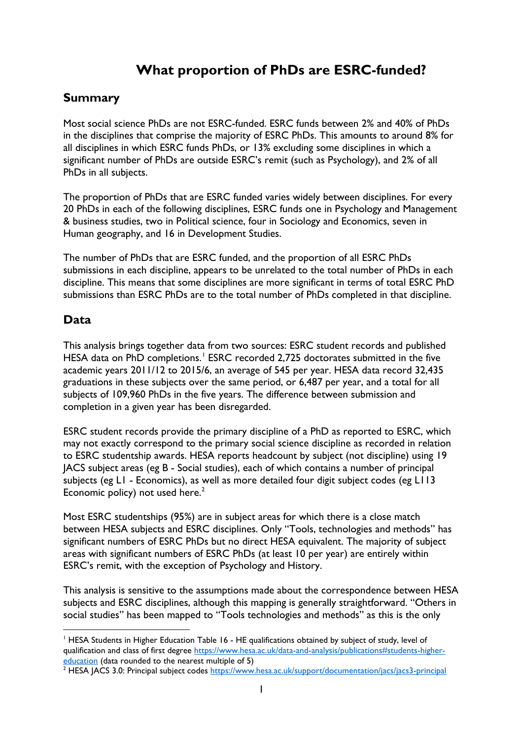# **What proportion of PhDs are ESRC-funded?**

### **Summary**

Most social science PhDs are not ESRC-funded. ESRC funds between 2% and 40% of PhDs in the disciplines that comprise the majority of ESRC PhDs. This amounts to around 8% for all disciplines in which ESRC funds PhDs, or 13% excluding some disciplines in which a significant number of PhDs are outside ESRC's remit (such as Psychology), and 2% of all PhDs in all subjects.

The proportion of PhDs that are ESRC funded varies widely between disciplines. For every 20 PhDs in each of the following disciplines, ESRC funds one in Psychology and Management & business studies, two in Political science, four in Sociology and Economics, seven in Human geography, and 16 in Development Studies.

The number of PhDs that are ESRC funded, and the proportion of all ESRC PhDs submissions in each discipline, appears to be unrelated to the total number of PhDs in each discipline. This means that some disciplines are more significant in terms of total ESRC PhD submissions than ESRC PhDs are to the total number of PhDs completed in that discipline.

#### **Data**

This analysis brings together data from two sources: ESRC student records and published HESA data on PhD completions.<sup>[1](#page-0-0)</sup> ESRC recorded 2,725 doctorates submitted in the five academic years 2011/12 to 2015/6, an average of 545 per year. HESA data record 32,435 graduations in these subjects over the same period, or 6,487 per year, and a total for all subjects of 109,960 PhDs in the five years. The difference between submission and completion in a given year has been disregarded.

ESRC student records provide the primary discipline of a PhD as reported to ESRC, which may not exactly correspond to the primary social science discipline as recorded in relation to ESRC studentship awards. HESA reports headcount by subject (not discipline) using 19 JACS subject areas (eg B - Social studies), each of which contains a number of principal subjects (eg L1 - Economics), as well as more detailed four digit subject codes (eg L113 Economic policy) not used here. $2$ 

Most ESRC studentships (95%) are in subject areas for which there is a close match between HESA subjects and ESRC disciplines. Only "Tools, technologies and methods" has significant numbers of ESRC PhDs but no direct HESA equivalent. The majority of subject areas with significant numbers of ESRC PhDs (at least 10 per year) are entirely within ESRC's remit, with the exception of Psychology and History.

This analysis is sensitive to the assumptions made about the correspondence between HESA subjects and ESRC disciplines, although this mapping is generally straightforward. "Others in social studies" has been mapped to "Tools technologies and methods" as this is the only

<span id="page-0-0"></span><sup>&</sup>lt;sup>1</sup> HESA Students in Higher Education Table 16 - HE qualifications obtained by subject of study, level of qualification and class of first degree [https://www.hesa.ac.uk/data-and-analysis/publications#students-higher](https://www.hesa.ac.uk/data-and-analysis/publications#students-higher-education)[education](https://www.hesa.ac.uk/data-and-analysis/publications#students-higher-education) (data rounded to the nearest multiple of 5)

<span id="page-0-1"></span><sup>&</sup>lt;sup>2</sup> HESA JACS 3.0: Principal subject codes<https://www.hesa.ac.uk/support/documentation/jacs/jacs3-principal>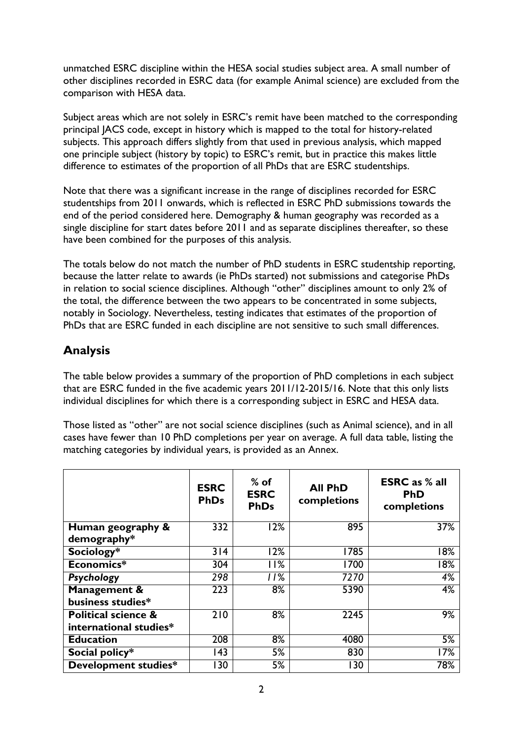unmatched ESRC discipline within the HESA social studies subject area. A small number of other disciplines recorded in ESRC data (for example Animal science) are excluded from the comparison with HESA data.

Subject areas which are not solely in ESRC's remit have been matched to the corresponding principal JACS code, except in history which is mapped to the total for history-related subjects. This approach differs slightly from that used in previous analysis, which mapped one principle subject (history by topic) to ESRC's remit, but in practice this makes little difference to estimates of the proportion of all PhDs that are ESRC studentships.

Note that there was a significant increase in the range of disciplines recorded for ESRC studentships from 2011 onwards, which is reflected in ESRC PhD submissions towards the end of the period considered here. Demography & human geography was recorded as a single discipline for start dates before 2011 and as separate disciplines thereafter, so these have been combined for the purposes of this analysis.

The totals below do not match the number of PhD students in ESRC studentship reporting, because the latter relate to awards (ie PhDs started) not submissions and categorise PhDs in relation to social science disciplines. Although "other" disciplines amount to only 2% of the total, the difference between the two appears to be concentrated in some subjects, notably in Sociology. Nevertheless, testing indicates that estimates of the proportion of PhDs that are ESRC funded in each discipline are not sensitive to such small differences.

# **Analysis**

The table below provides a summary of the proportion of PhD completions in each subject that are ESRC funded in the five academic years 2011/12-2015/16. Note that this only lists individual disciplines for which there is a corresponding subject in ESRC and HESA data.

Those listed as "other" are not social science disciplines (such as Animal science), and in all cases have fewer than 10 PhD completions per year on average. A full data table, listing the matching categories by individual years, is provided as an Annex.

|                                | <b>ESRC</b><br><b>PhDs</b> | $%$ of<br><b>ESRC</b><br><b>PhDs</b> | <b>All PhD</b><br>completions | <b>ESRC</b> as % all<br><b>PhD</b><br>completions |
|--------------------------------|----------------------------|--------------------------------------|-------------------------------|---------------------------------------------------|
| Human geography &              | 332                        | 12%                                  | 895                           | 37%                                               |
| demography*                    |                            |                                      |                               |                                                   |
| Sociology*                     | 314                        | 12%                                  | 1785                          | 18%                                               |
| Economics*                     | 304                        | l I%                                 | 1700                          | 18%                                               |
| Psychology                     | 298                        | 11%                                  | 7270                          | 4%                                                |
| Management &                   | 223                        | 8%                                   | 5390                          | 4%                                                |
| business studies*              |                            |                                      |                               |                                                   |
| <b>Political science &amp;</b> | 210                        | 8%                                   | 2245                          | 9%                                                |
| international studies*         |                            |                                      |                               |                                                   |
| <b>Education</b>               | 208                        | 8%                                   | 4080                          | 5%                                                |
| Social policy*                 | 143                        | 5%                                   | 830                           | 17%                                               |
| Development studies*           | 30                         | 5%                                   | 130                           | 78%                                               |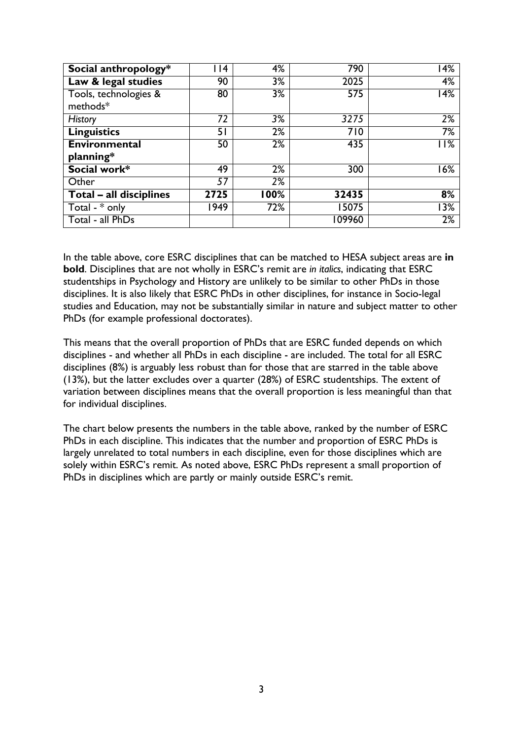| Social anthropology*    | 4    | 4%    | 790              | $\overline{14\%}$ |
|-------------------------|------|-------|------------------|-------------------|
| Law & legal studies     | 90   | 3%    | 2025             | 4%                |
| Tools, technologies &   | 80   | 3%    | $\overline{575}$ | 14%               |
| methods*                |      |       |                  |                   |
| <b>History</b>          | 72   | 3%    | 3275             | 2%                |
| <b>Linguistics</b>      | 51   | 2%    | 710              | 7%                |
| <b>Environmental</b>    | 50   | 2%    | 435              | <b>11%</b>        |
| planning*               |      |       |                  |                   |
| Social work*            | 49   | 2%    | 300              | 16%               |
| Other                   | 57   | 2%    |                  |                   |
| Total - all disciplines | 2725 | l 00% | 32435            | 8%                |
| Total - $*$ only        | 1949 | 72%   | 15075            | 3%                |
| Total - all PhDs        |      |       | 109960           | 2%                |

In the table above, core ESRC disciplines that can be matched to HESA subject areas are **in bold**. Disciplines that are not wholly in ESRC's remit are *in italics*, indicating that ESRC studentships in Psychology and History are unlikely to be similar to other PhDs in those disciplines. It is also likely that ESRC PhDs in other disciplines, for instance in Socio-legal studies and Education, may not be substantially similar in nature and subject matter to other PhDs (for example professional doctorates).

This means that the overall proportion of PhDs that are ESRC funded depends on which disciplines - and whether all PhDs in each discipline - are included. The total for all ESRC disciplines (8%) is arguably less robust than for those that are starred in the table above (13%), but the latter excludes over a quarter (28%) of ESRC studentships. The extent of variation between disciplines means that the overall proportion is less meaningful than that for individual disciplines.

The chart below presents the numbers in the table above, ranked by the number of ESRC PhDs in each discipline. This indicates that the number and proportion of ESRC PhDs is largely unrelated to total numbers in each discipline, even for those disciplines which are solely within ESRC's remit. As noted above, ESRC PhDs represent a small proportion of PhDs in disciplines which are partly or mainly outside ESRC's remit.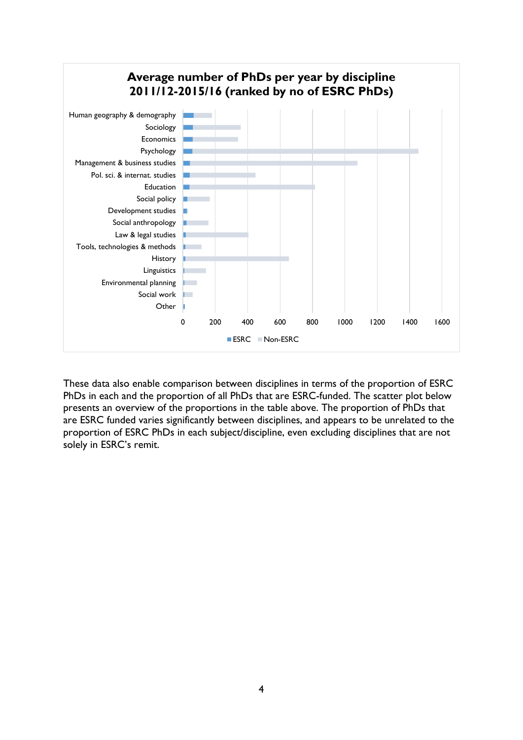

These data also enable comparison between disciplines in terms of the proportion of ESRC PhDs in each and the proportion of all PhDs that are ESRC-funded. The scatter plot below presents an overview of the proportions in the table above. The proportion of PhDs that are ESRC funded varies significantly between disciplines, and appears to be unrelated to the proportion of ESRC PhDs in each subject/discipline, even excluding disciplines that are not solely in ESRC's remit.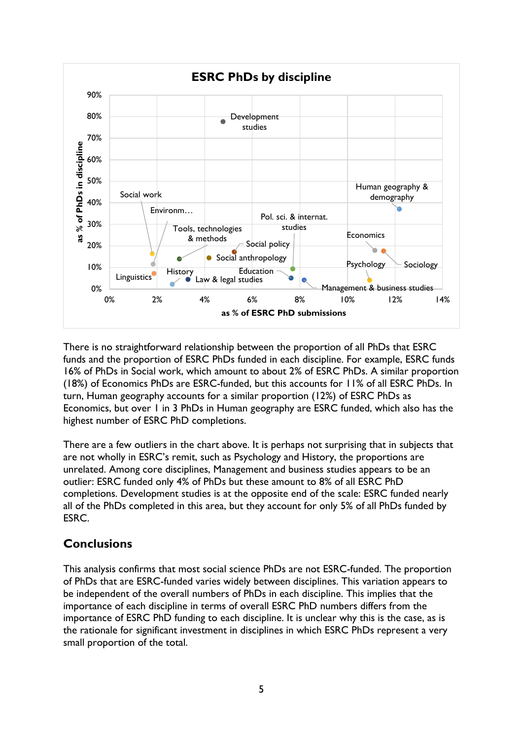

There is no straightforward relationship between the proportion of all PhDs that ESRC funds and the proportion of ESRC PhDs funded in each discipline. For example, ESRC funds 16% of PhDs in Social work, which amount to about 2% of ESRC PhDs. A similar proportion (18%) of Economics PhDs are ESRC-funded, but this accounts for 11% of all ESRC PhDs. In turn, Human geography accounts for a similar proportion (12%) of ESRC PhDs as Economics, but over 1 in 3 PhDs in Human geography are ESRC funded, which also has the highest number of ESRC PhD completions.

There are a few outliers in the chart above. It is perhaps not surprising that in subjects that are not wholly in ESRC's remit, such as Psychology and History, the proportions are unrelated. Among core disciplines, Management and business studies appears to be an outlier: ESRC funded only 4% of PhDs but these amount to 8% of all ESRC PhD completions. Development studies is at the opposite end of the scale: ESRC funded nearly all of the PhDs completed in this area, but they account for only 5% of all PhDs funded by ESRC.

# **Conclusions**

This analysis confirms that most social science PhDs are not ESRC-funded. The proportion of PhDs that are ESRC-funded varies widely between disciplines. This variation appears to be independent of the overall numbers of PhDs in each discipline. This implies that the importance of each discipline in terms of overall ESRC PhD numbers differs from the importance of ESRC PhD funding to each discipline. It is unclear why this is the case, as is the rationale for significant investment in disciplines in which ESRC PhDs represent a very small proportion of the total.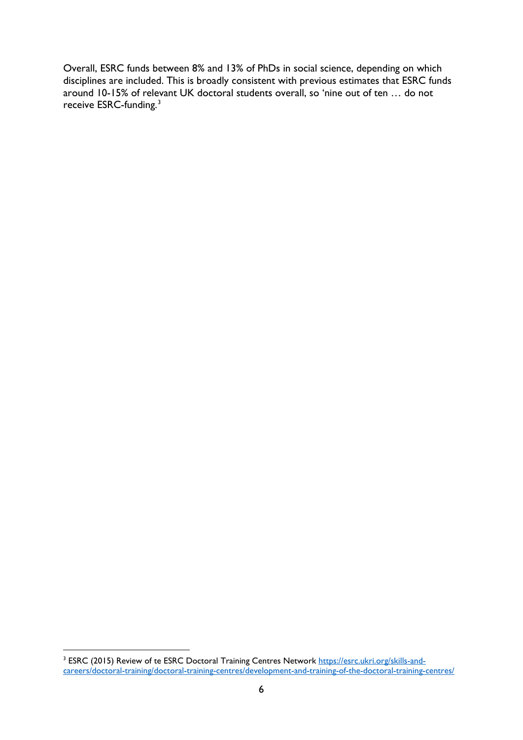Overall, ESRC funds between 8% and 13% of PhDs in social science, depending on which disciplines are included. This is broadly consistent with previous estimates that ESRC funds around 10-15% of relevant UK doctoral students overall, so 'nine out of ten … do not receive ESRC-funding.<sup>[3](#page-5-0)</sup>

<span id="page-5-0"></span> <sup>3</sup> ESRC (2015) Review of te ESRC Doctoral Training Centres Network [https://esrc.ukri.org/skills-and](https://esrc.ukri.org/skills-and-careers/doctoral-training/doctoral-training-centres/development-and-training-of-the-doctoral-training-centres/)[careers/doctoral-training/doctoral-training-centres/development-and-training-of-the-doctoral-training-centres/](https://esrc.ukri.org/skills-and-careers/doctoral-training/doctoral-training-centres/development-and-training-of-the-doctoral-training-centres/)